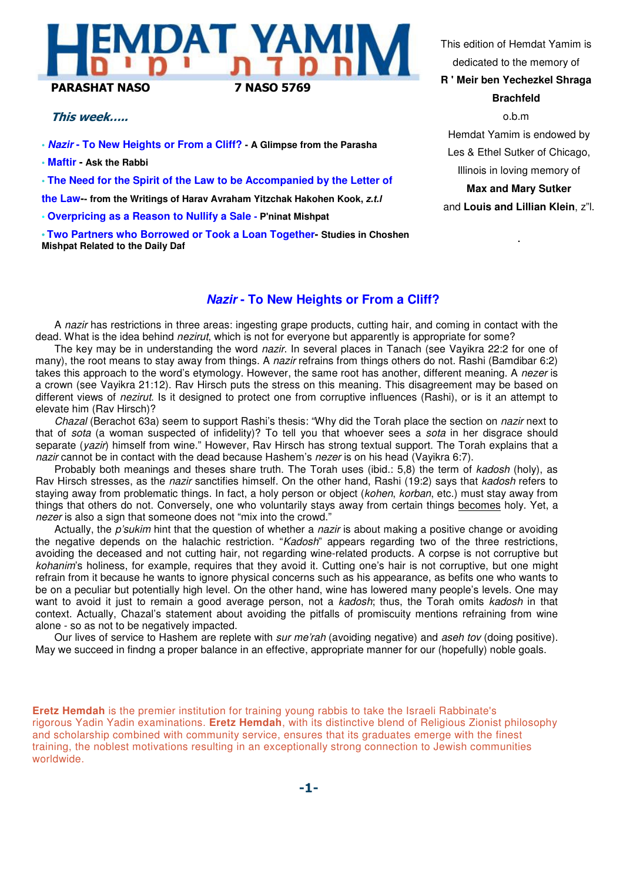# **MDAT YAM** PARASHAT NASO 7 NASO 5769

### This week…..

**• Nazir - To New Heights or From a Cliff? - A Glimpse from the Parasha**

**• Maftir - Ask the Rabbi**

**• The Need for the Spirit of the Law to be Accompanied by the Letter of** 

**the Law-- from the Writings of Harav Avraham Yitzchak Hakohen Kook, z.t.l**

**• Overpricing as a Reason to Nullify a Sale - P'ninat Mishpat**

**• Two Partners who Borrowed or Took a Loan Together- Studies in Choshen Mishpat Related to the Daily Daf**

This edition of Hemdat Yamim is dedicated to the memory of

**R ' Meir ben Yechezkel Shraga Brachfeld**

o.b.m Hemdat Yamim is endowed by Les & Ethel Sutker of Chicago, Illinois in loving memory of **Max and Mary Sutker** and **Louis and Lillian Klein**, z"l.

.

## **Nazir - To New Heights or From a Cliff?**

A nazir has restrictions in three areas: ingesting grape products, cutting hair, and coming in contact with the dead. What is the idea behind nezirut, which is not for everyone but apparently is appropriate for some?

The key may be in understanding the word nazir. In several places in Tanach (see Vayikra 22:2 for one of many), the root means to stay away from things. A nazir refrains from things others do not. Rashi (Bamdibar 6:2) takes this approach to the word's etymology. However, the same root has another, different meaning. A nezer is a crown (see Vayikra 21:12). Rav Hirsch puts the stress on this meaning. This disagreement may be based on different views of *nezirut*. Is it designed to protect one from corruptive influences (Rashi), or is it an attempt to elevate him (Rav Hirsch)?

Chazal (Berachot 63a) seem to support Rashi's thesis: "Why did the Torah place the section on nazir next to that of sota (a woman suspected of infidelity)? To tell you that whoever sees a sota in her disgrace should separate (*yazir*) himself from wine." However, Rav Hirsch has strong textual support. The Torah explains that a nazir cannot be in contact with the dead because Hashem's nezer is on his head (Vayikra 6:7).

Probably both meanings and theses share truth. The Torah uses (ibid.: 5,8) the term of kadosh (holy), as Rav Hirsch stresses, as the nazir sanctifies himself. On the other hand, Rashi (19:2) says that kadosh refers to staying away from problematic things. In fact, a holy person or object (kohen, korban, etc.) must stay away from things that others do not. Conversely, one who voluntarily stays away from certain things becomes holy. Yet, a nezer is also a sign that someone does not "mix into the crowd."

Actually, the *p'sukim* hint that the question of whether a *nazir* is about making a positive change or avoiding the negative depends on the halachic restriction. "Kadosh" appears regarding two of the three restrictions, avoiding the deceased and not cutting hair, not regarding wine-related products. A corpse is not corruptive but kohanim's holiness, for example, requires that they avoid it. Cutting one's hair is not corruptive, but one might refrain from it because he wants to ignore physical concerns such as his appearance, as befits one who wants to be on a peculiar but potentially high level. On the other hand, wine has lowered many people's levels. One may want to avoid it just to remain a good average person, not a kadosh; thus, the Torah omits kadosh in that context. Actually, Chazal's statement about avoiding the pitfalls of promiscuity mentions refraining from wine alone - so as not to be negatively impacted.

Our lives of service to Hashem are replete with sur me'rah (avoiding negative) and aseh tov (doing positive). May we succeed in findng a proper balance in an effective, appropriate manner for our (hopefully) noble goals.

**Eretz Hemdah** is the premier institution for training young rabbis to take the Israeli Rabbinate's rigorous Yadin Yadin examinations. **Eretz Hemdah**, with its distinctive blend of Religious Zionist philosophy and scholarship combined with community service, ensures that its graduates emerge with the finest training, the noblest motivations resulting in an exceptionally strong connection to Jewish communities worldwide.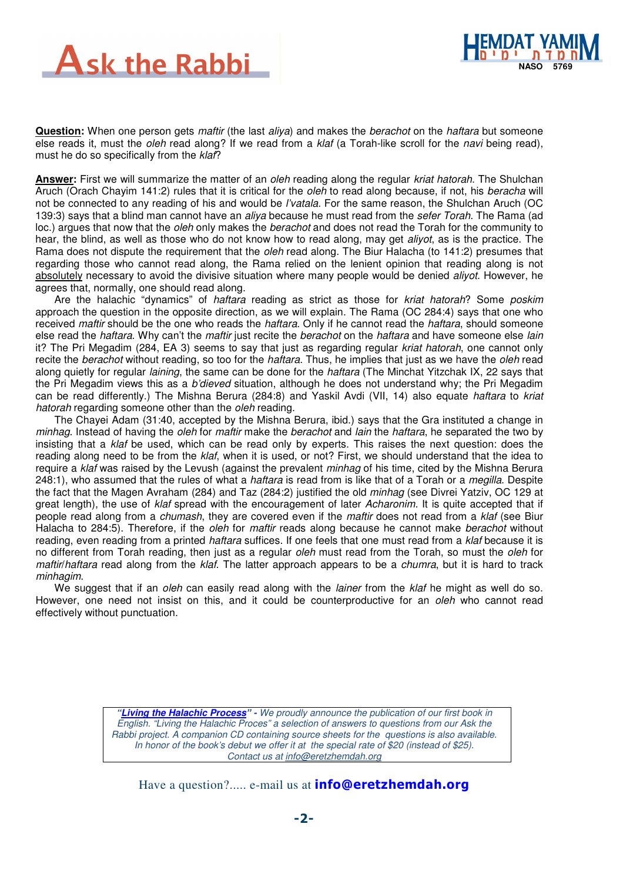



**Question:** When one person gets *maftir* (the last aliya) and makes the berachot on the haftara but someone else reads it, must the *oleh* read along? If we read from a *klaf* (a Torah-like scroll for the *navi* being read), must he do so specifically from the klaf?

**Answer:** First we will summarize the matter of an oleh reading along the regular kriat hatorah. The Shulchan Aruch (Orach Chayim 141:2) rules that it is critical for the *oleh* to read along because, if not, his *beracha* will not be connected to any reading of his and would be *l'vatala*. For the same reason, the Shulchan Aruch (OC 139:3) says that a blind man cannot have an *aliya* because he must read from the *sefer Torah*. The Rama (ad loc.) argues that now that the *oleh* only makes the *berachot* and does not read the Torah for the community to hear, the blind, as well as those who do not know how to read along, may get *aliyot*, as is the practice. The Rama does not dispute the requirement that the *oleh* read along. The Biur Halacha (to 141:2) presumes that regarding those who cannot read along, the Rama relied on the lenient opinion that reading along is not absolutely necessary to avoid the divisive situation where many people would be denied *aliyot*. However, he agrees that, normally, one should read along.

Are the halachic "dynamics" of haftara reading as strict as those for kriat hatorah? Some poskim approach the question in the opposite direction, as we will explain. The Rama (OC 284:4) says that one who received maftir should be the one who reads the haftara. Only if he cannot read the haftara, should someone else read the haftara. Why can't the maftir just recite the berachot on the haftara and have someone else lain it? The Pri Megadim (284, EA 3) seems to say that just as regarding regular kriat hatorah, one cannot only recite the berachot without reading, so too for the haftara. Thus, he implies that just as we have the oleh read along quietly for regular laining, the same can be done for the haftara (The Minchat Yitzchak IX, 22 says that the Pri Megadim views this as a b'dieved situation, although he does not understand why; the Pri Megadim can be read differently.) The Mishna Berura (284:8) and Yaskil Avdi (VII, 14) also equate haftara to kriat hatorah regarding someone other than the *oleh* reading.

The Chayei Adam (31:40, accepted by the Mishna Berura, ibid.) says that the Gra instituted a change in minhag. Instead of having the *oleh* for maftir make the *berachot* and *lain* the *haftara*, he separated the two by insisting that a klaf be used, which can be read only by experts. This raises the next question: does the reading along need to be from the klaf, when it is used, or not? First, we should understand that the idea to require a klaf was raised by the Levush (against the prevalent minhag of his time, cited by the Mishna Berura 248:1), who assumed that the rules of what a *haftara* is read from is like that of a Torah or a *megilla*. Despite the fact that the Magen Avraham (284) and Taz (284:2) justified the old minhag (see Divrei Yatziv, OC 129 at great length), the use of klaf spread with the encouragement of later Acharonim. It is quite accepted that if people read along from a chumash, they are covered even if the maftir does not read from a klaf (see Biur Halacha to 284:5). Therefore, if the *oleh* for *maftir* reads along because he cannot make *berachot* without reading, even reading from a printed *haftara* suffices. If one feels that one must read from a *klaf* because it is no different from Torah reading, then just as a regular *oleh* must read from the Torah, so must the *oleh* for maftir/haftara read along from the klaf. The latter approach appears to be a chumra, but it is hard to track minhagim.

We suggest that if an oleh can easily read along with the lainer from the klaf he might as well do so. However, one need not insist on this, and it could be counterproductive for an oleh who cannot read effectively without punctuation.

> **"Living the Halachic Process**" **-** We proudly announce the publication of our first book in English. "Living the Halachic Proces" a selection of answers to questions from our Ask the Rabbi project. A companion CD containing source sheets for the questions is also available. In honor of the book's debut we offer it at the special rate of \$20 (instead of \$25). Contact us at info@eretzhemdah.org

Have a question?..... e-mail us at **info@eretzhemdah.org**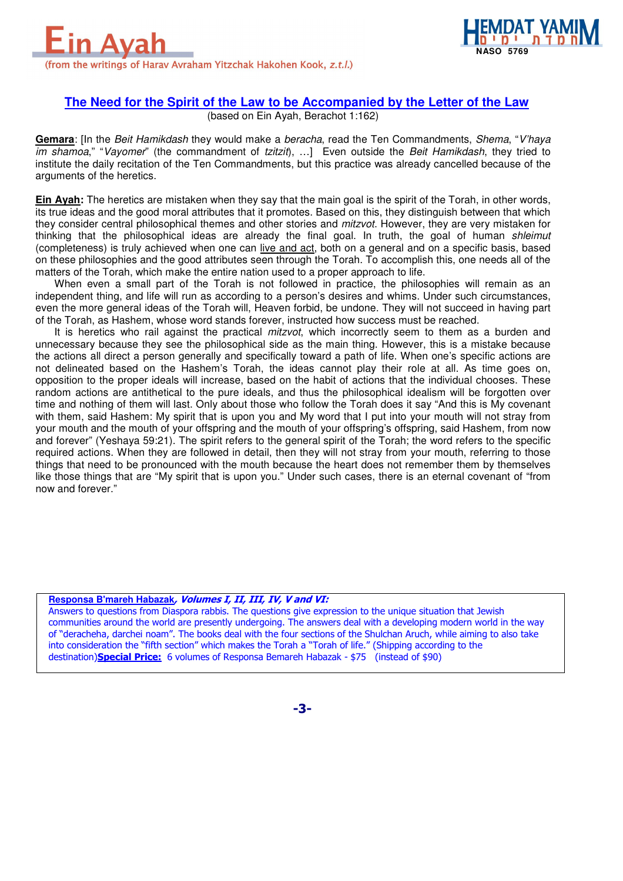



## **The Need for the Spirit of the Law to be Accompanied by the Letter of the Law**

(based on Ein Ayah, Berachot 1:162)

**Gemara**: [In the Beit Hamikdash they would make a beracha, read the Ten Commandments, Shema, "V'haya im shamoa," "Vayomer" (the commandment of tzitzit), ...] Even outside the Beit Hamikdash, they tried to institute the daily recitation of the Ten Commandments, but this practice was already cancelled because of the arguments of the heretics.

**Ein Ayah:** The heretics are mistaken when they say that the main goal is the spirit of the Torah, in other words, its true ideas and the good moral attributes that it promotes. Based on this, they distinguish between that which they consider central philosophical themes and other stories and *mitzvot*. However, they are very mistaken for thinking that the philosophical ideas are already the final goal. In truth, the goal of human shleimut (completeness) is truly achieved when one can live and act, both on a general and on a specific basis, based on these philosophies and the good attributes seen through the Torah. To accomplish this, one needs all of the matters of the Torah, which make the entire nation used to a proper approach to life.

When even a small part of the Torah is not followed in practice, the philosophies will remain as an independent thing, and life will run as according to a person's desires and whims. Under such circumstances, even the more general ideas of the Torah will, Heaven forbid, be undone. They will not succeed in having part of the Torah, as Hashem, whose word stands forever, instructed how success must be reached.

It is heretics who rail against the practical *mitzvot*, which incorrectly seem to them as a burden and unnecessary because they see the philosophical side as the main thing. However, this is a mistake because the actions all direct a person generally and specifically toward a path of life. When one's specific actions are not delineated based on the Hashem's Torah, the ideas cannot play their role at all. As time goes on, opposition to the proper ideals will increase, based on the habit of actions that the individual chooses. These random actions are antithetical to the pure ideals, and thus the philosophical idealism will be forgotten over time and nothing of them will last. Only about those who follow the Torah does it say "And this is My covenant with them, said Hashem: My spirit that is upon you and My word that I put into your mouth will not stray from your mouth and the mouth of your offspring and the mouth of your offspring's offspring, said Hashem, from now and forever" (Yeshaya 59:21). The spirit refers to the general spirit of the Torah; the word refers to the specific required actions. When they are followed in detail, then they will not stray from your mouth, referring to those things that need to be pronounced with the mouth because the heart does not remember them by themselves like those things that are "My spirit that is upon you." Under such cases, there is an eternal covenant of "from now and forever."

#### **Responsa B'mareh Habazak**, Volumes I, II, III, IV, V and VI:

Answers to questions from Diaspora rabbis. The questions give expression to the unique situation that Jewish communities around the world are presently undergoing. The answers deal with a developing modern world in the way of "deracheha, darchei noam". The books deal with the four sections of the Shulchan Aruch, while aiming to also take into consideration the "fifth section" which makes the Torah a "Torah of life." (Shipping according to the destination)**Special Price:** 6 volumes of Responsa Bemareh Habazak - \$75 (instead of \$90)

-3-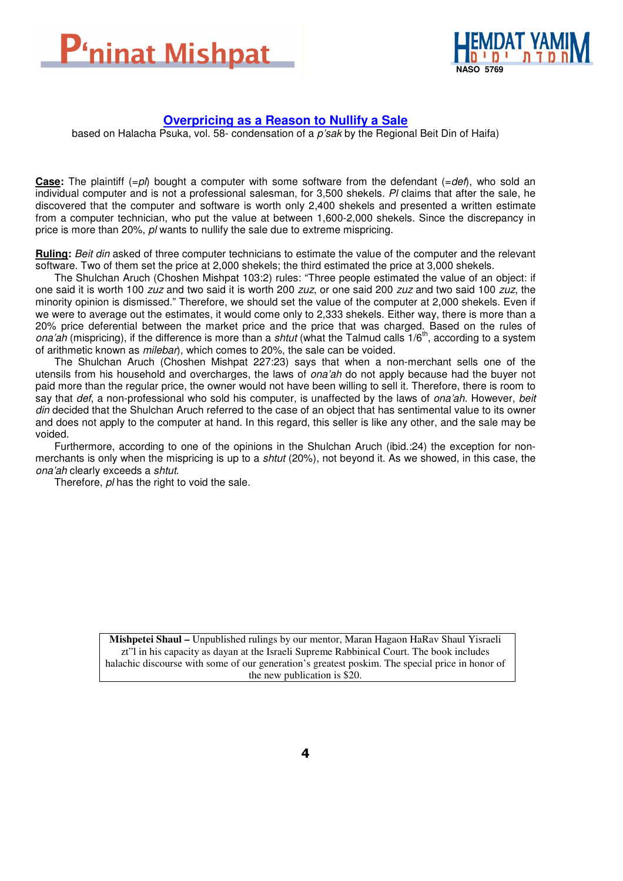



## **Overpricing as a Reason to Nullify a Sale**

based on Halacha Psuka, vol. 58- condensation of a p'sak by the Regional Beit Din of Haifa)

**Case:** The plaintiff  $(=p)$  bought a computer with some software from the defendant  $(=def)$ , who sold an individual computer and is not a professional salesman, for 3,500 shekels. Pl claims that after the sale, he discovered that the computer and software is worth only 2,400 shekels and presented a written estimate from a computer technician, who put the value at between 1,600-2,000 shekels. Since the discrepancy in price is more than 20%,  $p$  wants to nullify the sale due to extreme mispricing.

**Ruling:** Beit din asked of three computer technicians to estimate the value of the computer and the relevant software. Two of them set the price at 2,000 shekels; the third estimated the price at 3,000 shekels.

The Shulchan Aruch (Choshen Mishpat 103:2) rules: "Three people estimated the value of an object: if one said it is worth 100 zuz and two said it is worth 200 zuz, or one said 200 zuz and two said 100 zuz, the minority opinion is dismissed." Therefore, we should set the value of the computer at 2,000 shekels. Even if we were to average out the estimates, it would come only to 2,333 shekels. Either way, there is more than a 20% price deferential between the market price and the price that was charged. Based on the rules of ona'ah (mispricing), if the difference is more than a *shtut* (what the Talmud calls 1/6<sup>th</sup>, according to a system of arithmetic known as milebar), which comes to 20%, the sale can be voided.

The Shulchan Aruch (Choshen Mishpat 227:23) says that when a non-merchant sells one of the utensils from his household and overcharges, the laws of ona'ah do not apply because had the buyer not paid more than the regular price, the owner would not have been willing to sell it. Therefore, there is room to say that def, a non-professional who sold his computer, is unaffected by the laws of ona'ah. However, beit din decided that the Shulchan Aruch referred to the case of an object that has sentimental value to its owner and does not apply to the computer at hand. In this regard, this seller is like any other, and the sale may be voided.

Furthermore, according to one of the opinions in the Shulchan Aruch (ibid.:24) the exception for nonmerchants is only when the mispricing is up to a shtut (20%), not beyond it. As we showed, in this case, the ona'ah clearly exceeds a shtut.

Therefore, pl has the right to void the sale.

**Mishpetei Shaul –** Unpublished rulings by our mentor, Maran Hagaon HaRav Shaul Yisraeli zt"l in his capacity as dayan at the Israeli Supreme Rabbinical Court. The book includes halachic discourse with some of our generation's greatest poskim. The special price in honor of the new publication is \$20.